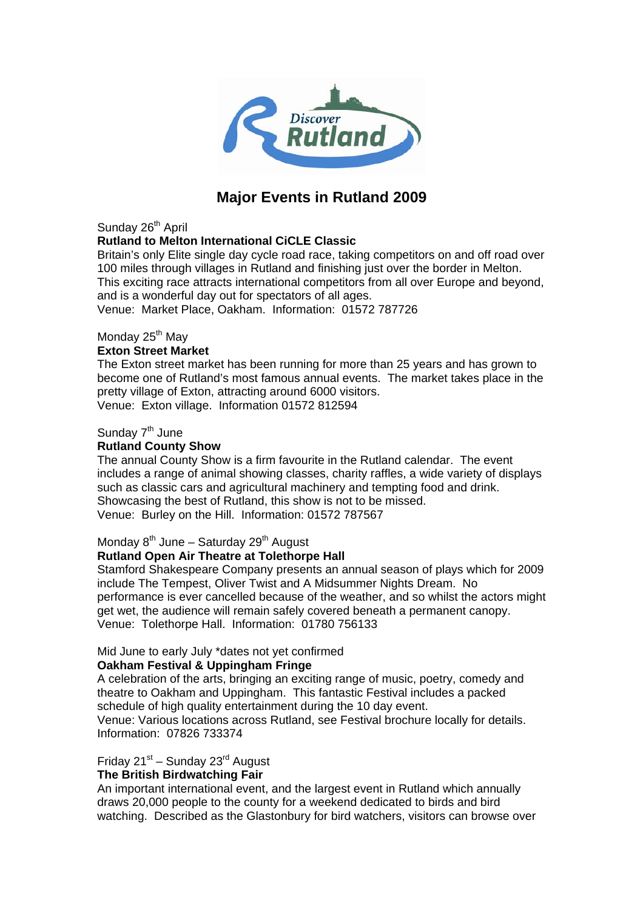

# **Major Events in Rutland 2009**

Sunday 26<sup>th</sup> April

## **Rutland to Melton International CiCLE Classic**

Britain's only Elite single day cycle road race, taking competitors on and off road over 100 miles through villages in Rutland and finishing just over the border in Melton. This exciting race attracts international competitors from all over Europe and beyond, and is a wonderful day out for spectators of all ages.

Venue: Market Place, Oakham. Information: 01572 787726

## Monday 25<sup>th</sup> May

#### **Exton Street Market**

The Exton street market has been running for more than 25 years and has grown to become one of Rutland's most famous annual events. The market takes place in the pretty village of Exton, attracting around 6000 visitors. Venue: Exton village. Information 01572 812594

#### Sunday  $7<sup>th</sup>$  June

## **Rutland County Show**

The annual County Show is a firm favourite in the Rutland calendar. The event includes a range of animal showing classes, charity raffles, a wide variety of displays such as classic cars and agricultural machinery and tempting food and drink. Showcasing the best of Rutland, this show is not to be missed. Venue: Burley on the Hill. Information: 01572 787567

#### Monday  $8<sup>th</sup>$  June – Saturday 29<sup>th</sup> August

#### **Rutland Open Air Theatre at Tolethorpe Hall**

Stamford Shakespeare Company presents an annual season of plays which for 2009 include The Tempest, Oliver Twist and A Midsummer Nights Dream. No performance is ever cancelled because of the weather, and so whilst the actors might get wet, the audience will remain safely covered beneath a permanent canopy. Venue: Tolethorpe Hall. Information: 01780 756133

#### Mid June to early July \*dates not yet confirmed

#### **Oakham Festival & Uppingham Fringe**

A celebration of the arts, bringing an exciting range of music, poetry, comedy and theatre to Oakham and Uppingham. This fantastic Festival includes a packed schedule of high quality entertainment during the 10 day event.

Venue: Various locations across Rutland, see Festival brochure locally for details. Information: 07826 733374

Friday  $21^{st}$  – Sunday  $23^{rd}$  August

#### **The British Birdwatching Fair**

An important international event, and the largest event in Rutland which annually draws 20,000 people to the county for a weekend dedicated to birds and bird watching. Described as the Glastonbury for bird watchers, visitors can browse over